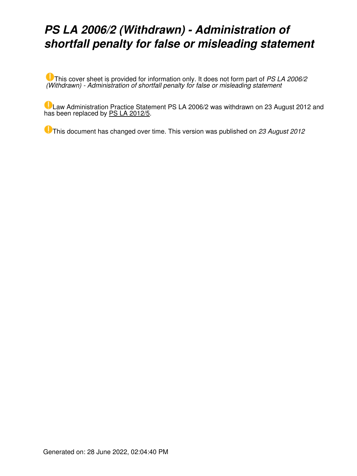# *PS LA 2006/2 (Withdrawn) - Administration of shortfall penalty for false or misleading statement*

This cover sheet is provided for information only. It does not form part of *PS LA 2006/2 (Withdrawn) - Administration of shortfall penalty for false or misleading statement*

Law Administration Practice Statement PS LA 2006/2 was withdrawn on 23 August 2012 and has been replaced by [PS LA 2012/5.](https://www.ato.gov.au/law/view/document?LocID=%22psr%2Fps20125%2Fnat%2Fato%22&PiT=20170904000001)

This document has changed over time. This version was published on *23 August 2012*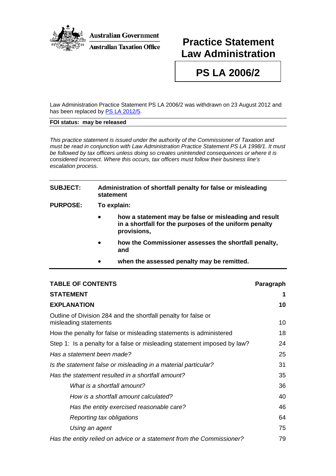

## **Practice Statement Law Administration**

# **PS LA 2006/2**

Law Administration Practice Statement PS LA 2006/2 was withdrawn on 23 August 2012 and has been replaced by [PS LA 2012/5.](http://law.ato.gov.au/view.htm?DocID=PSR/PS20125/NAT/ATO/00001)

#### **FOI status: may be released**

*This practice statement is issued under the authority of the Commissioner of Taxation and must be read in conjunction with Law Administration Practice Statement PS LA 1998/1. It must be followed by tax officers unless doing so creates unintended consequences or where it is considered incorrect. Where this occurs, tax officers must follow their business line's escalation process.* 

## **SUBJECT: Administration of shortfall penalty for false or misleading statement PURPOSE: To explain:**  • **how a statement may be false or misleading and result in a shortfall for the purposes of the uniform penalty provisions,**  • **how the Commissioner assesses the shortfall penalty, and**  • **when the assessed penalty may be remitted.**

| <b>TABLE OF CONTENTS</b>                                                                | Paragraph |
|-----------------------------------------------------------------------------------------|-----------|
| <b>STATEMENT</b>                                                                        | 1         |
| <b>EXPLANATION</b>                                                                      | 10        |
| Outline of Division 284 and the shortfall penalty for false or<br>misleading statements | 10        |
| How the penalty for false or misleading statements is administered                      | 18        |
| Step 1: Is a penalty for a false or misleading statement imposed by law?                | 24        |
| Has a statement been made?                                                              | 25        |
| Is the statement false or misleading in a material particular?                          | 31        |
| Has the statement resulted in a shortfall amount?                                       | 35        |
| What is a shortfall amount?                                                             | 36        |
| How is a shortfall amount calculated?                                                   | 40        |
| Has the entity exercised reasonable care?                                               | 46        |
| Reporting tax obligations                                                               | 64        |
| Using an agent                                                                          | 75        |
| Has the entity relied on advice or a statement from the Commissioner?                   | 79        |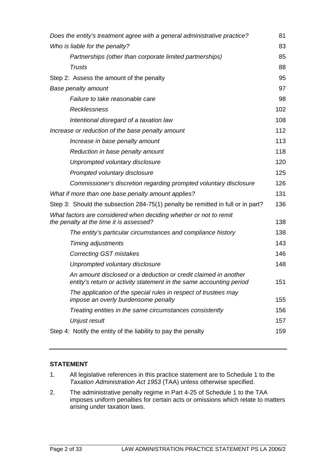| Does the entity's treatment agree with a general administrative practice?                                                              | 81  |
|----------------------------------------------------------------------------------------------------------------------------------------|-----|
| Who is liable for the penalty?                                                                                                         | 83  |
| Partnerships (other than corporate limited partnerships)                                                                               | 85  |
| <b>Trusts</b>                                                                                                                          | 88  |
| Step 2: Assess the amount of the penalty                                                                                               | 95  |
| <b>Base penalty amount</b>                                                                                                             | 97  |
| Failure to take reasonable care                                                                                                        | 98  |
| Recklessness                                                                                                                           | 102 |
| Intentional disregard of a taxation law                                                                                                | 108 |
| Increase or reduction of the base penalty amount                                                                                       | 112 |
| Increase in base penalty amount                                                                                                        | 113 |
| Reduction in base penalty amount                                                                                                       | 118 |
| Unprompted voluntary disclosure                                                                                                        | 120 |
| Prompted voluntary disclosure                                                                                                          | 125 |
| Commissioner's discretion regarding prompted voluntary disclosure                                                                      | 126 |
| What if more than one base penalty amount applies?                                                                                     | 131 |
| Step 3: Should the subsection 284-75(1) penalty be remitted in full or in part?                                                        | 136 |
| What factors are considered when deciding whether or not to remit<br>the penalty at the time it is assessed?                           | 138 |
| The entity's particular circumstances and compliance history                                                                           | 138 |
| <b>Timing adjustments</b>                                                                                                              | 143 |
| <b>Correcting GST mistakes</b>                                                                                                         | 146 |
| Unprompted voluntary disclosure                                                                                                        | 148 |
| An amount disclosed or a deduction or credit claimed in another<br>entity's return or activity statement in the same accounting period | 151 |
| The application of the special rules in respect of trustees may<br>impose an overly burdensome penalty                                 | 155 |
| Treating entities in the same circumstances consistently                                                                               | 156 |
| Unjust result                                                                                                                          | 157 |
| Step 4: Notify the entity of the liability to pay the penalty                                                                          | 159 |

## **STATEMENT**

- 1. All legislative references in this practice statement are to Schedule 1 to the *Taxation Administration Act 1953* (TAA) unless otherwise specified.
- 2. The administrative penalty regime in Part 4-25 of Schedule 1 to the TAA imposes uniform penalties for certain acts or omissions which relate to matters arising under taxation laws.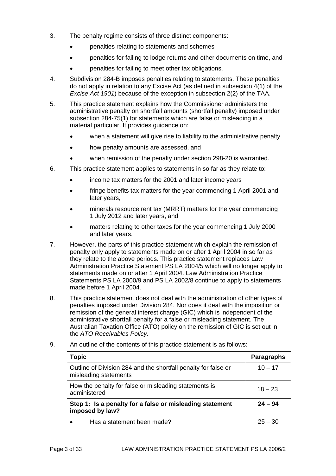- 3. The penalty regime consists of three distinct components:
	- penalties relating to statements and schemes
	- penalties for failing to lodge returns and other documents on time, and
	- penalties for failing to meet other tax obligations.
- 4. Subdivision 284-B imposes penalties relating to statements. These penalties do not apply in relation to any Excise Act (as defined in subsection 4(1) of the *Excise Act 1901*) because of the exception in subsection 2(2) of the TAA.
- 5. This practice statement explains how the Commissioner administers the administrative penalty on shortfall amounts (shortfall penalty) imposed under subsection 284-75(1) for statements which are false or misleading in a material particular. It provides guidance on:
	- when a statement will give rise to liability to the administrative penalty
	- how penalty amounts are assessed, and
	- when remission of the penalty under section 298-20 is warranted.
- 6. This practice statement applies to statements in so far as they relate to:
	- income tax matters for the 2001 and later income years
	- fringe benefits tax matters for the year commencing 1 April 2001 and later years,
	- minerals resource rent tax (MRRT) matters for the year commencing 1 July 2012 and later years, and
	- matters relating to other taxes for the year commencing 1 July 2000 and later years.
- 7. However, the parts of this practice statement which explain the remission of penalty only apply to statements made on or after 1 April 2004 in so far as they relate to the above periods. This practice statement replaces Law Administration Practice Statement PS LA 2004/5 which will no longer apply to statements made on or after 1 April 2004. Law Administration Practice Statements PS LA 2000/9 and PS LA 2002/8 continue to apply to statements made before 1 April 2004.
- 8. This practice statement does not deal with the administration of other types of penalties imposed under Division 284. Nor does it deal with the imposition or remission of the general interest charge (GIC) which is independent of the administrative shortfall penalty for a false or misleading statement. The Australian Taxation Office (ATO) policy on the remission of GIC is set out in the *ATO Receivables Policy*.
- 9. An outline of the contents of this practice statement is as follows:

| <b>Topic</b>                                                                            | <b>Paragraphs</b> |
|-----------------------------------------------------------------------------------------|-------------------|
| Outline of Division 284 and the shortfall penalty for false or<br>misleading statements | $10 - 17$         |
| How the penalty for false or misleading statements is<br>administered                   | $18 - 23$         |
| Step 1: Is a penalty for a false or misleading statement<br>imposed by law?             | $24 - 94$         |
| Has a statement been made?                                                              | $25 - 30$         |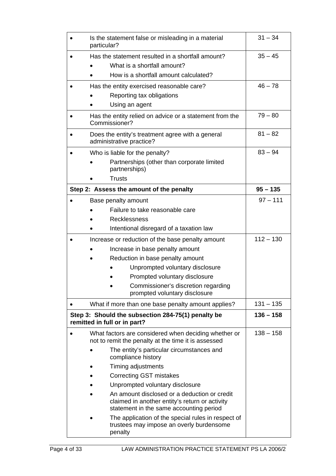| Is the statement false or misleading in a material<br>particular?                                                                         | $31 - 34$   |
|-------------------------------------------------------------------------------------------------------------------------------------------|-------------|
| Has the statement resulted in a shortfall amount?                                                                                         | $35 - 45$   |
| What is a shortfall amount?                                                                                                               |             |
| How is a shortfall amount calculated?                                                                                                     |             |
| Has the entity exercised reasonable care?                                                                                                 | $46 - 78$   |
| Reporting tax obligations                                                                                                                 |             |
| Using an agent                                                                                                                            |             |
| Has the entity relied on advice or a statement from the<br>Commissioner?                                                                  | $79 - 80$   |
| Does the entity's treatment agree with a general<br>administrative practice?                                                              | $81 - 82$   |
| Who is liable for the penalty?                                                                                                            | $83 - 94$   |
| Partnerships (other than corporate limited<br>partnerships)                                                                               |             |
| <b>Trusts</b>                                                                                                                             |             |
| Step 2: Assess the amount of the penalty                                                                                                  | $95 - 135$  |
| Base penalty amount                                                                                                                       | $97 - 111$  |
| Failure to take reasonable care                                                                                                           |             |
| <b>Recklessness</b>                                                                                                                       |             |
| Intentional disregard of a taxation law                                                                                                   |             |
| Increase or reduction of the base penalty amount                                                                                          | $112 - 130$ |
| Increase in base penalty amount                                                                                                           |             |
| Reduction in base penalty amount                                                                                                          |             |
| Unprompted voluntary disclosure                                                                                                           |             |
| Prompted voluntary disclosure                                                                                                             |             |
| Commissioner's discretion regarding<br>prompted voluntary disclosure                                                                      |             |
| What if more than one base penalty amount applies?                                                                                        | $131 - 135$ |
| Step 3: Should the subsection 284-75(1) penalty be<br>remitted in full or in part?                                                        | $136 - 158$ |
| What factors are considered when deciding whether or<br>not to remit the penalty at the time it is assessed                               | $138 - 158$ |
| The entity's particular circumstances and<br>compliance history                                                                           |             |
| Timing adjustments                                                                                                                        |             |
| <b>Correcting GST mistakes</b>                                                                                                            |             |
| Unprompted voluntary disclosure                                                                                                           |             |
| An amount disclosed or a deduction or credit<br>claimed in another entity's return or activity<br>statement in the same accounting period |             |
| The application of the special rules in respect of<br>trustees may impose an overly burdensome<br>penalty                                 |             |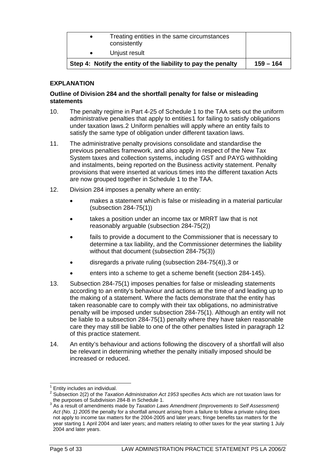|                                                               | Treating entities in the same circumstances<br>consistently<br>Unjust result |             |
|---------------------------------------------------------------|------------------------------------------------------------------------------|-------------|
| Step 4: Notify the entity of the liability to pay the penalty |                                                                              | $159 - 164$ |

#### **EXPLANATION**

#### **Outline of Division 284 and the shortfall penalty for false or misleading statements**

- 10. The penalty regime in Part 4-25 of Schedule 1 to the TAA sets out the uniform administrative penalties that apply to entities[1](#page-5-0) for failing to satisfy obligations under taxation laws.[2](#page-5-1) Uniform penalties will apply where an entity fails to satisfy the same type of obligation under different taxation laws.
- 11. The administrative penalty provisions consolidate and standardise the previous penalties framework, and also apply in respect of the New Tax System taxes and collection systems, including GST and PAYG withholding and instalments, being reported on the Business activity statement. Penalty provisions that were inserted at various times into the different taxation Acts are now grouped together in Schedule 1 to the TAA.
- 12. Division 284 imposes a penalty where an entity:
	- makes a statement which is false or misleading in a material particular (subsection 284-75(1))
	- takes a position under an income tax or MRRT law that is not reasonably arguable (subsection 284-75(2))
	- fails to provide a document to the Commissioner that is necessary to determine a tax liability, and the Commissioner determines the liability without that document (subsection 284-75(3))
	- disregards a private ruling (subsection 284-75(4)),[3](#page-5-2) or
	- enters into a scheme to get a scheme benefit (section 284-145).
- 13. Subsection 284-75(1) imposes penalties for false or misleading statements according to an entity's behaviour and actions at the time of and leading up to the making of a statement. Where the facts demonstrate that the entity has taken reasonable care to comply with their tax obligations, no administrative penalty will be imposed under subsection 284-75(1). Although an entity will not be liable to a subsection 284-75(1) penalty where they have taken reasonable care they may still be liable to one of the other penalties listed in paragraph 12 of this practice statement.
- 14. An entity's behaviour and actions following the discovery of a shortfall will also be relevant in determining whether the penalty initially imposed should be increased or reduced.

 $\overline{\phantom{a}}$ 

<span id="page-5-0"></span><sup>1</sup> Entity includes an individual.

<span id="page-5-1"></span><sup>2</sup> Subsection 2(2) of the *Taxation Administration Act 1953* specifies Acts which are not taxation laws for the purposes of Subdivision 284-B in Schedule 1.

<span id="page-5-2"></span><sup>3</sup> As a result of amendments made by *Taxation Laws Amendment (Improvements to Self Assessment) Act (No. 1) 2005* the penalty for a shortfall amount arising from a failure to follow a private ruling does not apply to income tax matters for the 2004-2005 and later years; fringe benefits tax matters for the year starting 1 April 2004 and later years; and matters relating to other taxes for the year starting 1 July 2004 and later years.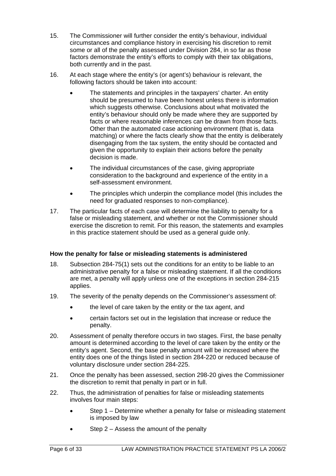- 15. The Commissioner will further consider the entity's behaviour, individual circumstances and compliance history in exercising his discretion to remit some or all of the penalty assessed under Division 284, in so far as those factors demonstrate the entity's efforts to comply with their tax obligations, both currently and in the past.
- 16. At each stage where the entity's (or agent's) behaviour is relevant, the following factors should be taken into account:
	- The statements and principles in the taxpayers' charter. An entity should be presumed to have been honest unless there is information which suggests otherwise. Conclusions about what motivated the entity's behaviour should only be made where they are supported by facts or where reasonable inferences can be drawn from those facts. Other than the automated case actioning environment (that is, data matching) or where the facts clearly show that the entity is deliberately disengaging from the tax system, the entity should be contacted and given the opportunity to explain their actions before the penalty decision is made.
	- The individual circumstances of the case, giving appropriate consideration to the background and experience of the entity in a self-assessment environment.
	- The principles which underpin the compliance model (this includes the need for graduated responses to non-compliance).
- 17. The particular facts of each case will determine the liability to penalty for a false or misleading statement, and whether or not the Commissioner should exercise the discretion to remit. For this reason, the statements and examples in this practice statement should be used as a general guide only.

#### **How the penalty for false or misleading statements is administered**

- 18. Subsection 284-75(1) sets out the conditions for an entity to be liable to an administrative penalty for a false or misleading statement. If all the conditions are met, a penalty will apply unless one of the exceptions in section 284-215 applies.
- 19. The severity of the penalty depends on the Commissioner's assessment of:
	- the level of care taken by the entity or the tax agent, and
	- certain factors set out in the legislation that increase or reduce the penalty.
- 20. Assessment of penalty therefore occurs in two stages. First, the base penalty amount is determined according to the level of care taken by the entity or the entity's agent. Second, the base penalty amount will be increased where the entity does one of the things listed in section 284-220 or reduced because of voluntary disclosure under section 284-225.
- 21. Once the penalty has been assessed, section 298-20 gives the Commissioner the discretion to remit that penalty in part or in full.
- 22. Thus, the administration of penalties for false or misleading statements involves four main steps:
	- Step 1 Determine whether a penalty for false or misleading statement is imposed by law
	- Step  $2 -$  Assess the amount of the penalty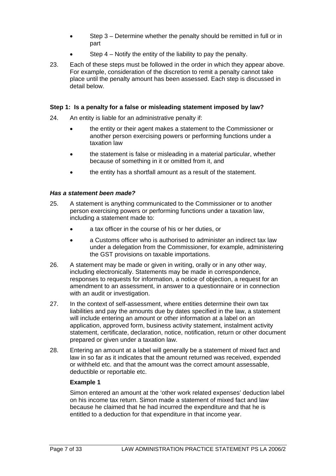- Step 3 Determine whether the penalty should be remitted in full or in part
- Step 4 Notify the entity of the liability to pay the penalty.
- 23. Each of these steps must be followed in the order in which they appear above. For example, consideration of the discretion to remit a penalty cannot take place until the penalty amount has been assessed. Each step is discussed in detail below.

#### **Step 1: Is a penalty for a false or misleading statement imposed by law?**

- 24. An entity is liable for an administrative penalty if:
	- the entity or their agent makes a statement to the Commissioner or another person exercising powers or performing functions under a taxation law
	- the statement is false or misleading in a material particular, whether because of something in it or omitted from it, and
	- the entity has a shortfall amount as a result of the statement.

#### *Has a statement been made?*

- 25. A statement is anything communicated to the Commissioner or to another person exercising powers or performing functions under a taxation law, including a statement made to:
	- a tax officer in the course of his or her duties, or
	- a Customs officer who is authorised to administer an indirect tax law under a delegation from the Commissioner, for example, administering the GST provisions on taxable importations.
- 26. A statement may be made or given in writing, orally or in any other way, including electronically. Statements may be made in correspondence, responses to requests for information, a notice of objection, a request for an amendment to an assessment, in answer to a questionnaire or in connection with an audit or investigation.
- 27. In the context of self-assessment, where entities determine their own tax liabilities and pay the amounts due by dates specified in the law, a statement will include entering an amount or other information at a label on an application, approved form, business activity statement, instalment activity statement, certificate, declaration, notice, notification, return or other document prepared or given under a taxation law.
- 28. Entering an amount at a label will generally be a statement of mixed fact and law in so far as it indicates that the amount returned was received, expended or withheld etc. and that the amount was the correct amount assessable, deductible or reportable etc.

## **Example 1**

Simon entered an amount at the 'other work related expenses' deduction label on his income tax return. Simon made a statement of mixed fact and law because he claimed that he had incurred the expenditure and that he is entitled to a deduction for that expenditure in that income year.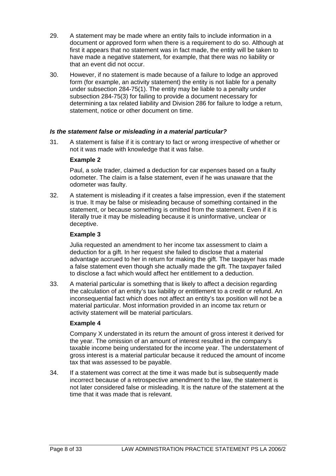- 29. A statement may be made where an entity fails to include information in a document or approved form when there is a requirement to do so. Although at first it appears that no statement was in fact made, the entity will be taken to have made a negative statement, for example, that there was no liability or that an event did not occur.
- 30. However, if no statement is made because of a failure to lodge an approved form (for example, an activity statement) the entity is not liable for a penalty under subsection 284-75(1). The entity may be liable to a penalty under subsection 284-75(3) for failing to provide a document necessary for determining a tax related liability and Division 286 for failure to lodge a return, statement, notice or other document on time.

#### *Is the statement false or misleading in a material particular?*

31. A statement is false if it is contrary to fact or wrong irrespective of whether or not it was made with knowledge that it was false.

#### **Example 2**

Paul, a sole trader, claimed a deduction for car expenses based on a faulty odometer. The claim is a false statement, even if he was unaware that the odometer was faulty.

32. A statement is misleading if it creates a false impression, even if the statement is true. It may be false or misleading because of something contained in the statement, or because something is omitted from the statement. Even if it is literally true it may be misleading because it is uninformative, unclear or deceptive.

## **Example 3**

Julia requested an amendment to her income tax assessment to claim a deduction for a gift. In her request she failed to disclose that a material advantage accrued to her in return for making the gift. The taxpayer has made a false statement even though she actually made the gift. The taxpayer failed to disclose a fact which would affect her entitlement to a deduction.

33. A material particular is something that is likely to affect a decision regarding the calculation of an entity's tax liability or entitlement to a credit or refund. An inconsequential fact which does not affect an entity's tax position will not be a material particular. Most information provided in an income tax return or activity statement will be material particulars.

## **Example 4**

Company X understated in its return the amount of gross interest it derived for the year. The omission of an amount of interest resulted in the company's taxable income being understated for the income year. The understatement of gross interest is a material particular because it reduced the amount of income tax that was assessed to be payable.

34. If a statement was correct at the time it was made but is subsequently made incorrect because of a retrospective amendment to the law, the statement is not later considered false or misleading. It is the nature of the statement at the time that it was made that is relevant.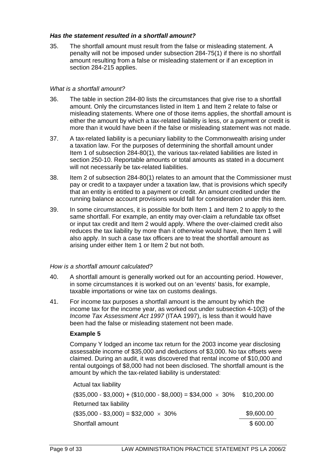#### *Has the statement resulted in a shortfall amount?*

35. The shortfall amount must result from the false or misleading statement. A penalty will not be imposed under subsection 284-75(1) if there is no shortfall amount resulting from a false or misleading statement or if an exception in section 284-215 applies.

## *What is a shortfall amount?*

- 36. The table in section 284-80 lists the circumstances that give rise to a shortfall amount. Only the circumstances listed in Item 1 and Item 2 relate to false or misleading statements. Where one of those items applies, the shortfall amount is either the amount by which a tax-related liability is less, or a payment or credit is more than it would have been if the false or misleading statement was not made.
- 37. A tax-related liability is a pecuniary liability to the Commonwealth arising under a taxation law. For the purposes of determining the shortfall amount under Item 1 of subsection 284-80(1), the various tax-related liabilities are listed in section 250-10. Reportable amounts or total amounts as stated in a document will not necessarily be tax-related liabilities.
- 38. Item 2 of subsection 284-80(1) relates to an amount that the Commissioner must pay or credit to a taxpayer under a taxation law, that is provisions which specify that an entity is entitled to a payment or credit. An amount credited under the running balance account provisions would fall for consideration under this item.
- 39. In some circumstances, it is possible for both Item 1 and Item 2 to apply to the same shortfall. For example, an entity may over-claim a refundable tax offset or input tax credit and Item 2 would apply. Where the over-claimed credit also reduces the tax liability by more than it otherwise would have, then Item 1 will also apply. In such a case tax officers are to treat the shortfall amount as arising under either Item 1 or Item 2 but not both.

## *How is a shortfall amount calculated?*

- 40. A shortfall amount is generally worked out for an accounting period. However, in some circumstances it is worked out on an 'events' basis, for example, taxable importations or wine tax on customs dealings.
- 41. For income tax purposes a shortfall amount is the amount by which the income tax for the income year, as worked out under subsection 4-10(3) of the *Income Tax Assessment Act 1997* (ITAA 1997), is less than it would have been had the false or misleading statement not been made.

## **Example 5**

Company Y lodged an income tax return for the 2003 income year disclosing assessable income of \$35,000 and deductions of \$3,000. No tax offsets were claimed. During an audit, it was discovered that rental income of \$10,000 and rental outgoings of \$8,000 had not been disclosed. The shortfall amount is the amount by which the tax-related liability is understated:

Actual tax liability  $($35,000 - $3,000) + ($10,000 - $8,000) = $34,000 \times 30\%$  \$10,200.00

| Returned tax liability                     |            |
|--------------------------------------------|------------|
| $($35,000 - $3,000) = $32,000 \times 30\%$ | \$9,600.00 |
| Shortfall amount                           | \$600.00   |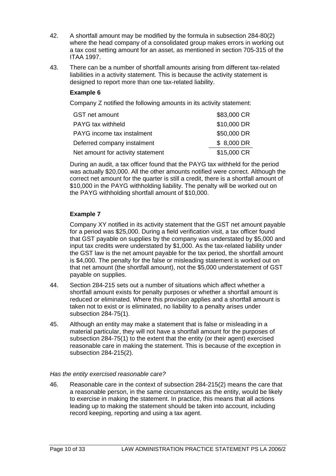- 42. A shortfall amount may be modified by the formula in subsection 284-80(2) where the head company of a consolidated group makes errors in working out a tax cost setting amount for an asset, as mentioned in section 705-315 of the ITAA 1997.
- 43. There can be a number of shortfall amounts arising from different tax-related liabilities in a activity statement. This is because the activity statement is designed to report more than one tax-related liability.

Company Z notified the following amounts in its activity statement:

| <b>GST net amount</b>             | \$83,000 CR |
|-----------------------------------|-------------|
| PAYG tax withheld                 | \$10,000 DR |
| PAYG income tax instalment        | \$50,000 DR |
| Deferred company instalment       | \$ 8,000 DR |
| Net amount for activity statement | \$15,000 CR |

During an audit, a tax officer found that the PAYG tax withheld for the period was actually \$20,000. All the other amounts notified were correct. Although the correct net amount for the quarter is still a credit, there is a shortfall amount of \$10,000 in the PAYG withholding liability. The penalty will be worked out on the PAYG withholding shortfall amount of \$10,000.

## **Example 7**

Company XY notified in its activity statement that the GST net amount payable for a period was \$25,000. During a field verification visit, a tax officer found that GST payable on supplies by the company was understated by \$5,000 and input tax credits were understated by \$1,000. As the tax-related liability under the GST law is the net amount payable for the tax period, the shortfall amount is \$4,000. The penalty for the false or misleading statement is worked out on that net amount (the shortfall amount), not the \$5,000 understatement of GST payable on supplies.

- 44. Section 284-215 sets out a number of situations which affect whether a shortfall amount exists for penalty purposes or whether a shortfall amount is reduced or eliminated. Where this provision applies and a shortfall amount is taken not to exist or is eliminated, no liability to a penalty arises under subsection 284-75(1).
- 45. Although an entity may make a statement that is false or misleading in a material particular, they will not have a shortfall amount for the purposes of subsection 284-75(1) to the extent that the entity (or their agent) exercised reasonable care in making the statement. This is because of the exception in subsection 284-215(2).

## *Has the entity exercised reasonable care?*

46. Reasonable care in the context of subsection 284-215(2) means the care that a reasonable person, in the same circumstances as the entity, would be likely to exercise in making the statement. In practice, this means that all actions leading up to making the statement should be taken into account, including record keeping, reporting and using a tax agent.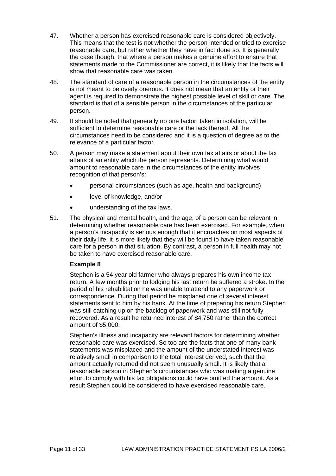- 47. Whether a person has exercised reasonable care is considered objectively. This means that the test is not whether the person intended or tried to exercise reasonable care, but rather whether they have in fact done so. It is generally the case though, that where a person makes a genuine effort to ensure that statements made to the Commissioner are correct, it is likely that the facts will show that reasonable care was taken.
- 48. The standard of care of a reasonable person in the circumstances of the entity is not meant to be overly onerous. It does not mean that an entity or their agent is required to demonstrate the highest possible level of skill or care. The standard is that of a sensible person in the circumstances of the particular person.
- 49. It should be noted that generally no one factor, taken in isolation, will be sufficient to determine reasonable care or the lack thereof. All the circumstances need to be considered and it is a question of degree as to the relevance of a particular factor.
- 50. A person may make a statement about their own tax affairs or about the tax affairs of an entity which the person represents. Determining what would amount to reasonable care in the circumstances of the entity involves recognition of that person's:
	- personal circumstances (such as age, health and background)
	- level of knowledge, and/or
	- understanding of the tax laws.
- 51. The physical and mental health, and the age, of a person can be relevant in determining whether reasonable care has been exercised. For example, when a person's incapacity is serious enough that it encroaches on most aspects of their daily life, it is more likely that they will be found to have taken reasonable care for a person in that situation. By contrast, a person in full health may not be taken to have exercised reasonable care.

Stephen is a 54 year old farmer who always prepares his own income tax return. A few months prior to lodging his last return he suffered a stroke. In the period of his rehabilitation he was unable to attend to any paperwork or correspondence. During that period he misplaced one of several interest statements sent to him by his bank. At the time of preparing his return Stephen was still catching up on the backlog of paperwork and was still not fully recovered. As a result he returned interest of \$4,750 rather than the correct amount of \$5,000.

Stephen's illness and incapacity are relevant factors for determining whether reasonable care was exercised. So too are the facts that one of many bank statements was misplaced and the amount of the understated interest was relatively small in comparison to the total interest derived, such that the amount actually returned did not seem unusually small. It is likely that a reasonable person in Stephen's circumstances who was making a genuine effort to comply with his tax obligations could have omitted the amount. As a result Stephen could be considered to have exercised reasonable care.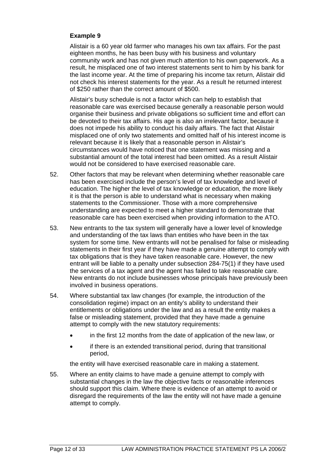Alistair is a 60 year old farmer who manages his own tax affairs. For the past eighteen months, he has been busy with his business and voluntary community work and has not given much attention to his own paperwork. As a result, he misplaced one of two interest statements sent to him by his bank for the last income year. At the time of preparing his income tax return, Alistair did not check his interest statements for the year. As a result he returned interest of \$250 rather than the correct amount of \$500.

Alistair's busy schedule is not a factor which can help to establish that reasonable care was exercised because generally a reasonable person would organise their business and private obligations so sufficient time and effort can be devoted to their tax affairs. His age is also an irrelevant factor, because it does not impede his ability to conduct his daily affairs. The fact that Alistair misplaced one of only two statements and omitted half of his interest income is relevant because it is likely that a reasonable person in Alistair's circumstances would have noticed that one statement was missing and a substantial amount of the total interest had been omitted. As a result Alistair would not be considered to have exercised reasonable care.

- 52. Other factors that may be relevant when determining whether reasonable care has been exercised include the person's level of tax knowledge and level of education. The higher the level of tax knowledge or education, the more likely it is that the person is able to understand what is necessary when making statements to the Commissioner. Those with a more comprehensive understanding are expected to meet a higher standard to demonstrate that reasonable care has been exercised when providing information to the ATO.
- 53. New entrants to the tax system will generally have a lower level of knowledge and understanding of the tax laws than entities who have been in the tax system for some time. New entrants will not be penalised for false or misleading statements in their first year if they have made a genuine attempt to comply with tax obligations that is they have taken reasonable care. However, the new entrant will be liable to a penalty under subsection 284-75(1) if they have used the services of a tax agent and the agent has failed to take reasonable care. New entrants do not include businesses whose principals have previously been involved in business operations.
- 54. Where substantial tax law changes (for example, the introduction of the consolidation regime) impact on an entity's ability to understand their entitlements or obligations under the law and as a result the entity makes a false or misleading statement, provided that they have made a genuine attempt to comply with the new statutory requirements:
	- in the first 12 months from the date of application of the new law, or
	- if there is an extended transitional period, during that transitional period,

the entity will have exercised reasonable care in making a statement.

55. Where an entity claims to have made a genuine attempt to comply with substantial changes in the law the objective facts or reasonable inferences should support this claim. Where there is evidence of an attempt to avoid or disregard the requirements of the law the entity will not have made a genuine attempt to comply.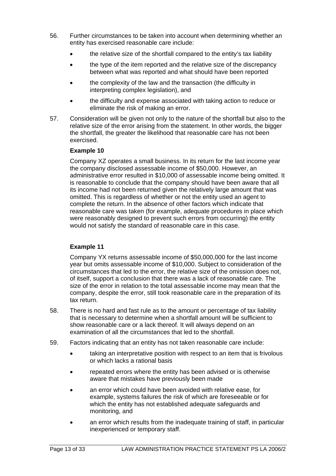- 56. Further circumstances to be taken into account when determining whether an entity has exercised reasonable care include:
	- the relative size of the shortfall compared to the entity's tax liability
	- the type of the item reported and the relative size of the discrepancy between what was reported and what should have been reported
	- the complexity of the law and the transaction (the difficulty in interpreting complex legislation), and
	- the difficulty and expense associated with taking action to reduce or eliminate the risk of making an error.
- 57. Consideration will be given not only to the nature of the shortfall but also to the relative size of the error arising from the statement. In other words, the bigger the shortfall, the greater the likelihood that reasonable care has not been exercised.

Company XZ operates a small business. In its return for the last income year the company disclosed assessable income of \$50,000. However, an administrative error resulted in \$10,000 of assessable income being omitted. It is reasonable to conclude that the company should have been aware that all its income had not been returned given the relatively large amount that was omitted. This is regardless of whether or not the entity used an agent to complete the return. In the absence of other factors which indicate that reasonable care was taken (for example, adequate procedures in place which were reasonably designed to prevent such errors from occurring) the entity would not satisfy the standard of reasonable care in this case.

## **Example 11**

Company YX returns assessable income of \$50,000,000 for the last income year but omits assessable income of \$10,000. Subject to consideration of the circumstances that led to the error, the relative size of the omission does not, of itself, support a conclusion that there was a lack of reasonable care. The size of the error in relation to the total assessable income may mean that the company, despite the error, still took reasonable care in the preparation of its tax return.

- 58. There is no hard and fast rule as to the amount or percentage of tax liability that is necessary to determine when a shortfall amount will be sufficient to show reasonable care or a lack thereof. It will always depend on an examination of all the circumstances that led to the shortfall.
- 59. Factors indicating that an entity has not taken reasonable care include:
	- taking an interpretative position with respect to an item that is frivolous or which lacks a rational basis
	- repeated errors where the entity has been advised or is otherwise aware that mistakes have previously been made
	- an error which could have been avoided with relative ease, for example, systems failures the risk of which are foreseeable or for which the entity has not established adequate safeguards and monitoring, and
	- an error which results from the inadequate training of staff, in particular inexperienced or temporary staff.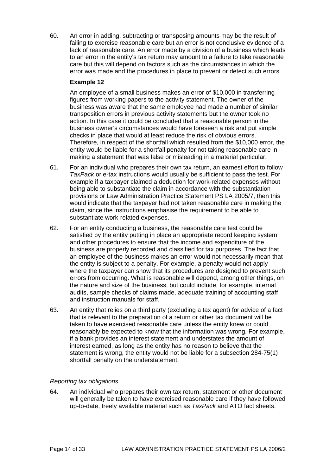60. An error in adding, subtracting or transposing amounts may be the result of failing to exercise reasonable care but an error is not conclusive evidence of a lack of reasonable care. An error made by a division of a business which leads to an error in the entity's tax return may amount to a failure to take reasonable care but this will depend on factors such as the circumstances in which the error was made and the procedures in place to prevent or detect such errors.

## **Example 12**

An employee of a small business makes an error of \$10,000 in transferring figures from working papers to the activity statement. The owner of the business was aware that the same employee had made a number of similar transposition errors in previous activity statements but the owner took no action. In this case it could be concluded that a reasonable person in the business owner's circumstances would have foreseen a risk and put simple checks in place that would at least reduce the risk of obvious errors. Therefore, in respect of the shortfall which resulted from the \$10,000 error, the entity would be liable for a shortfall penalty for not taking reasonable care in making a statement that was false or misleading in a material particular.

- 61. For an individual who prepares their own tax return, an earnest effort to follow *TaxPack* or e-tax instructions would usually be sufficient to pass the test. For example if a taxpayer claimed a deduction for work-related expenses without being able to substantiate the claim in accordance with the substantiation provisions or Law Administration Practice Statement PS LA 2005/7, then this would indicate that the taxpayer had not taken reasonable care in making the claim, since the instructions emphasise the requirement to be able to substantiate work-related expenses.
- 62. For an entity conducting a business, the reasonable care test could be satisfied by the entity putting in place an appropriate record keeping system and other procedures to ensure that the income and expenditure of the business are properly recorded and classified for tax purposes. The fact that an employee of the business makes an error would not necessarily mean that the entity is subject to a penalty. For example, a penalty would not apply where the taxpayer can show that its procedures are designed to prevent such errors from occurring. What is reasonable will depend, among other things, on the nature and size of the business, but could include, for example, internal audits, sample checks of claims made, adequate training of accounting staff and instruction manuals for staff.
- 63. An entity that relies on a third party (excluding a tax agent) for advice of a fact that is relevant to the preparation of a return or other tax document will be taken to have exercised reasonable care unless the entity knew or could reasonably be expected to know that the information was wrong. For example, if a bank provides an interest statement and understates the amount of interest earned, as long as the entity has no reason to believe that the statement is wrong, the entity would not be liable for a subsection 284-75(1) shortfall penalty on the understatement.

## *Reporting tax obligations*

64. An individual who prepares their own tax return, statement or other document will generally be taken to have exercised reasonable care if they have followed up-to-date, freely available material such as *TaxPack* and ATO fact sheets.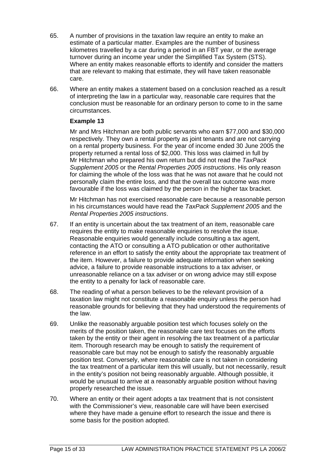- 65. A number of provisions in the taxation law require an entity to make an estimate of a particular matter. Examples are the number of business kilometres travelled by a car during a period in an FBT year, or the average turnover during an income year under the Simplified Tax System (STS). Where an entity makes reasonable efforts to identify and consider the matters that are relevant to making that estimate, they will have taken reasonable care.
- 66. Where an entity makes a statement based on a conclusion reached as a result of interpreting the law in a particular way, reasonable care requires that the conclusion must be reasonable for an ordinary person to come to in the same circumstances.

Mr and Mrs Hitchman are both public servants who earn \$77,000 and \$30,000 respectively. They own a rental property as joint tenants and are not carrying on a rental property business. For the year of income ended 30 June 2005 the property returned a rental loss of \$2,000. This loss was claimed in full by Mr Hitchman who prepared his own return but did not read the *TaxPack Supplement 2005* or the *Rental Properties 2005 instructions*. His only reason for claiming the whole of the loss was that he was not aware that he could not personally claim the entire loss, and that the overall tax outcome was more favourable if the loss was claimed by the person in the higher tax bracket.

Mr Hitchman has not exercised reasonable care because a reasonable person in his circumstances would have read the *TaxPack Supplement 2005* and the *Rental Properties 2005 instructions*.

- 67. If an entity is uncertain about the tax treatment of an item, reasonable care requires the entity to make reasonable enquiries to resolve the issue. Reasonable enquiries would generally include consulting a tax agent, contacting the ATO or consulting a ATO publication or other authoritative reference in an effort to satisfy the entity about the appropriate tax treatment of the item. However, a failure to provide adequate information when seeking advice, a failure to provide reasonable instructions to a tax adviser, or unreasonable reliance on a tax adviser or on wrong advice may still expose the entity to a penalty for lack of reasonable care.
- 68. The reading of what a person believes to be the relevant provision of a taxation law might not constitute a reasonable enquiry unless the person had reasonable grounds for believing that they had understood the requirements of the law.
- 69. Unlike the reasonably arguable position test which focuses solely on the merits of the position taken, the reasonable care test focuses on the efforts taken by the entity or their agent in resolving the tax treatment of a particular item. Thorough research may be enough to satisfy the requirement of reasonable care but may not be enough to satisfy the reasonably arguable position test. Conversely, where reasonable care is not taken in considering the tax treatment of a particular item this will usually, but not necessarily, result in the entity's position not being reasonably arguable. Although possible, it would be unusual to arrive at a reasonably arguable position without having properly researched the issue.
- 70. Where an entity or their agent adopts a tax treatment that is not consistent with the Commissioner's view, reasonable care will have been exercised where they have made a genuine effort to research the issue and there is some basis for the position adopted.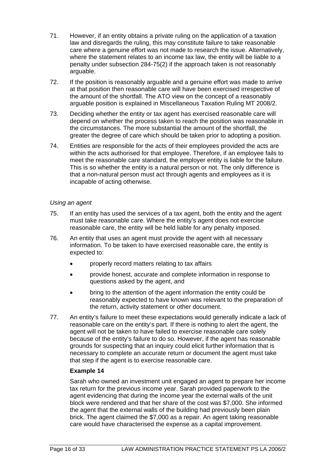- 71. However, if an entity obtains a private ruling on the application of a taxation law and disregards the ruling, this may constitute failure to take reasonable care where a genuine effort was not made to research the issue. Alternatively, where the statement relates to an income tax law, the entity will be liable to a penalty under subsection 284-75(2) if the approach taken is not reasonably arguable.
- 72. If the position is reasonably arguable and a genuine effort was made to arrive at that position then reasonable care will have been exercised irrespective of the amount of the shortfall. The ATO view on the concept of a reasonably arguable position is explained in Miscellaneous Taxation Ruling MT 2008/2.
- 73. Deciding whether the entity or tax agent has exercised reasonable care will depend on whether the process taken to reach the position was reasonable in the circumstances. The more substantial the amount of the shortfall, the greater the degree of care which should be taken prior to adopting a position.
- 74. Entities are responsible for the acts of their employees provided the acts are within the acts authorised for that employee. Therefore, if an employee fails to meet the reasonable care standard, the employer entity is liable for the failure. This is so whether the entity is a natural person or not. The only difference is that a non-natural person must act through agents and employees as it is incapable of acting otherwise.

#### *Using an agent*

- 75. If an entity has used the services of a tax agent, both the entity and the agent must take reasonable care. Where the entity's agent does not exercise reasonable care, the entity will be held liable for any penalty imposed.
- 76. An entity that uses an agent must provide the agent with all necessary information. To be taken to have exercised reasonable care, the entity is expected to:
	- properly record matters relating to tax affairs
	- provide honest, accurate and complete information in response to questions asked by the agent, and
	- bring to the attention of the agent information the entity could be reasonably expected to have known was relevant to the preparation of the return, activity statement or other document.
- 77. An entity's failure to meet these expectations would generally indicate a lack of reasonable care on the entity's part. If there is nothing to alert the agent, the agent will not be taken to have failed to exercise reasonable care solely because of the entity's failure to do so. However, if the agent has reasonable grounds for suspecting that an inquiry could elicit further information that is necessary to complete an accurate return or document the agent must take that step if the agent is to exercise reasonable care.

## **Example 14**

Sarah who owned an investment unit engaged an agent to prepare her income tax return for the previous income year. Sarah provided paperwork to the agent evidencing that during the income year the external walls of the unit block were rendered and that her share of the cost was \$7,000. She informed the agent that the external walls of the building had previously been plain brick. The agent claimed the \$7,000 as a repair. An agent taking reasonable care would have characterised the expense as a capital improvement.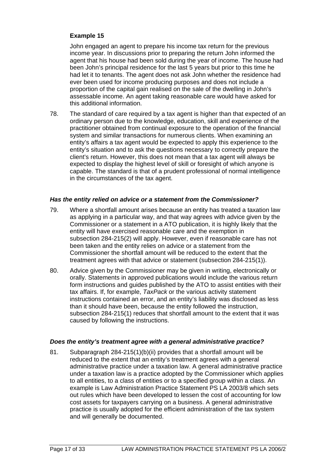John engaged an agent to prepare his income tax return for the previous income year. In discussions prior to preparing the return John informed the agent that his house had been sold during the year of income. The house had been John's principal residence for the last 5 years but prior to this time he had let it to tenants. The agent does not ask John whether the residence had ever been used for income producing purposes and does not include a proportion of the capital gain realised on the sale of the dwelling in John's assessable income. An agent taking reasonable care would have asked for this additional information.

78. The standard of care required by a tax agent is higher than that expected of an ordinary person due to the knowledge, education, skill and experience of the practitioner obtained from continual exposure to the operation of the financial system and similar transactions for numerous clients. When examining an entity's affairs a tax agent would be expected to apply this experience to the entity's situation and to ask the questions necessary to correctly prepare the client's return. However, this does not mean that a tax agent will always be expected to display the highest level of skill or foresight of which anyone is capable. The standard is that of a prudent professional of normal intelligence in the circumstances of the tax agent.

## *Has the entity relied on advice or a statement from the Commissioner?*

- 79. Where a shortfall amount arises because an entity has treated a taxation law as applying in a particular way, and that way agrees with advice given by the Commissioner or a statement in a ATO publication, it is highly likely that the entity will have exercised reasonable care and the exemption in subsection 284-215(2) will apply. However, even if reasonable care has not been taken and the entity relies on advice or a statement from the Commissioner the shortfall amount will be reduced to the extent that the treatment agrees with that advice or statement (subsection 284-215(1)).
- 80. Advice given by the Commissioner may be given in writing, electronically or orally. Statements in approved publications would include the various return form instructions and guides published by the ATO to assist entities with their tax affairs. If, for example, *TaxPack* or the various activity statement instructions contained an error, and an entity's liability was disclosed as less than it should have been, because the entity followed the instruction, subsection 284-215(1) reduces that shortfall amount to the extent that it was caused by following the instructions.

#### *Does the entity's treatment agree with a general administrative practice?*

81. Subparagraph 284-215(1)(b)(ii) provides that a shortfall amount will be reduced to the extent that an entity's treatment agrees with a general administrative practice under a taxation law. A general administrative practice under a taxation law is a practice adopted by the Commissioner which applies to all entities, to a class of entities or to a specified group within a class. An example is Law Administration Practice Statement PS LA 2003/8 which sets out rules which have been developed to lessen the cost of accounting for low cost assets for taxpayers carrying on a business. A general administrative practice is usually adopted for the efficient administration of the tax system and will generally be documented.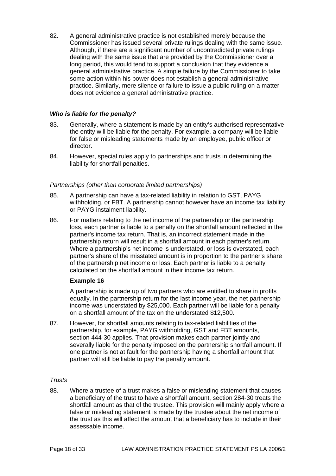82. A general administrative practice is not established merely because the Commissioner has issued several private rulings dealing with the same issue. Although, if there are a significant number of uncontradicted private rulings dealing with the same issue that are provided by the Commissioner over a long period, this would tend to support a conclusion that they evidence a general administrative practice. A simple failure by the Commissioner to take some action within his power does not establish a general administrative practice. Similarly, mere silence or failure to issue a public ruling on a matter does not evidence a general administrative practice.

## *Who is liable for the penalty?*

- 83. Generally, where a statement is made by an entity's authorised representative the entity will be liable for the penalty. For example, a company will be liable for false or misleading statements made by an employee, public officer or director.
- 84. However, special rules apply to partnerships and trusts in determining the liability for shortfall penalties.

#### *Partnerships (other than corporate limited partnerships)*

- 85. A partnership can have a tax-related liability in relation to GST, PAYG withholding, or FBT. A partnership cannot however have an income tax liability or PAYG instalment liability.
- 86. For matters relating to the net income of the partnership or the partnership loss, each partner is liable to a penalty on the shortfall amount reflected in the partner's income tax return. That is, an incorrect statement made in the partnership return will result in a shortfall amount in each partner's return. Where a partnership's net income is understated, or loss is overstated, each partner's share of the misstated amount is in proportion to the partner's share of the partnership net income or loss. Each partner is liable to a penalty calculated on the shortfall amount in their income tax return.

## **Example 16**

A partnership is made up of two partners who are entitled to share in profits equally. In the partnership return for the last income year, the net partnership income was understated by \$25,000. Each partner will be liable for a penalty on a shortfall amount of the tax on the understated \$12,500.

87. However, for shortfall amounts relating to tax-related liabilities of the partnership, for example, PAYG withholding, GST and FBT amounts, section 444-30 applies. That provision makes each partner jointly and severally liable for the penalty imposed on the partnership shortfall amount. If one partner is not at fault for the partnership having a shortfall amount that partner will still be liable to pay the penalty amount.

#### *Trusts*

88. Where a trustee of a trust makes a false or misleading statement that causes a beneficiary of the trust to have a shortfall amount, section 284-30 treats the shortfall amount as that of the trustee. This provision will mainly apply where a false or misleading statement is made by the trustee about the net income of the trust as this will affect the amount that a beneficiary has to include in their assessable income.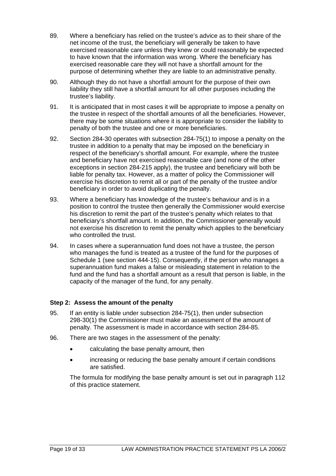- 89. Where a beneficiary has relied on the trustee's advice as to their share of the net income of the trust, the beneficiary will generally be taken to have exercised reasonable care unless they knew or could reasonably be expected to have known that the information was wrong. Where the beneficiary has exercised reasonable care they will not have a shortfall amount for the purpose of determining whether they are liable to an administrative penalty.
- 90. Although they do not have a shortfall amount for the purpose of their own liability they still have a shortfall amount for all other purposes including the trustee's liability.
- 91. It is anticipated that in most cases it will be appropriate to impose a penalty on the trustee in respect of the shortfall amounts of all the beneficiaries. However, there may be some situations where it is appropriate to consider the liability to penalty of both the trustee and one or more beneficiaries.
- 92. Section 284-30 operates with subsection 284-75(1) to impose a penalty on the trustee in addition to a penalty that may be imposed on the beneficiary in respect of the beneficiary's shortfall amount. For example, where the trustee and beneficiary have not exercised reasonable care (and none of the other exceptions in section 284-215 apply), the trustee and beneficiary will both be liable for penalty tax. However, as a matter of policy the Commissioner will exercise his discretion to remit all or part of the penalty of the trustee and/or beneficiary in order to avoid duplicating the penalty.
- 93. Where a beneficiary has knowledge of the trustee's behaviour and is in a position to control the trustee then generally the Commissioner would exercise his discretion to remit the part of the trustee's penalty which relates to that beneficiary's shortfall amount. In addition, the Commissioner generally would not exercise his discretion to remit the penalty which applies to the beneficiary who controlled the trust.
- 94. In cases where a superannuation fund does not have a trustee, the person who manages the fund is treated as a trustee of the fund for the purposes of Schedule 1 (see section 444-15). Consequently, if the person who manages a superannuation fund makes a false or misleading statement in relation to the fund and the fund has a shortfall amount as a result that person is liable, in the capacity of the manager of the fund, for any penalty.

## **Step 2: Assess the amount of the penalty**

- 95. If an entity is liable under subsection 284-75(1), then under subsection 298-30(1) the Commissioner must make an assessment of the amount of penalty. The assessment is made in accordance with section 284-85.
- 96. There are two stages in the assessment of the penalty:
	- calculating the base penalty amount, then
	- increasing or reducing the base penalty amount if certain conditions are satisfied.

The formula for modifying the base penalty amount is set out in paragraph 112 of this practice statement.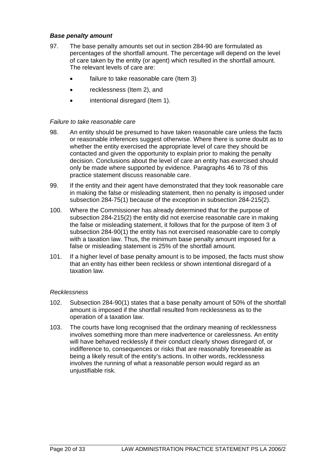#### *Base penalty amount*

- 97. The base penalty amounts set out in section 284-90 are formulated as percentages of the shortfall amount. The percentage will depend on the level of care taken by the entity (or agent) which resulted in the shortfall amount. The relevant levels of care are:
	- failure to take reasonable care (Item 3)
	- recklessness (Item 2), and
	- intentional disregard (Item 1).

#### *Failure to take reasonable care*

- 98. An entity should be presumed to have taken reasonable care unless the facts or reasonable inferences suggest otherwise. Where there is some doubt as to whether the entity exercised the appropriate level of care they should be contacted and given the opportunity to explain prior to making the penalty decision. Conclusions about the level of care an entity has exercised should only be made where supported by evidence. Paragraphs 46 to 78 of this practice statement discuss reasonable care.
- 99. If the entity and their agent have demonstrated that they took reasonable care in making the false or misleading statement, then no penalty is imposed under subsection 284-75(1) because of the exception in subsection 284-215(2).
- 100. Where the Commissioner has already determined that for the purpose of subsection 284-215(2) the entity did not exercise reasonable care in making the false or misleading statement, it follows that for the purpose of Item 3 of subsection 284-90(1) the entity has not exercised reasonable care to comply with a taxation law. Thus, the minimum base penalty amount imposed for a false or misleading statement is 25% of the shortfall amount.
- 101. If a higher level of base penalty amount is to be imposed, the facts must show that an entity has either been reckless or shown intentional disregard of a taxation law.

#### *Recklessness*

- 102. Subsection 284-90(1) states that a base penalty amount of 50% of the shortfall amount is imposed if the shortfall resulted from recklessness as to the operation of a taxation law.
- 103. The courts have long recognised that the ordinary meaning of recklessness involves something more than mere inadvertence or carelessness. An entity will have behaved recklessly if their conduct clearly shows disregard of, or indifference to, consequences or risks that are reasonably foreseeable as being a likely result of the entity's actions. In other words, recklessness involves the running of what a reasonable person would regard as an unjustifiable risk.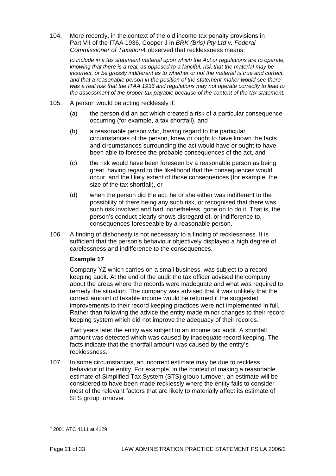104. More recently, in the context of the old income tax penalty provisions in Part VII of the ITAA 1936, Cooper J in *BRK (Bris) Pty Ltd v. Federal Commissioner of Taxation*[4](#page-21-0) observed that recklessness means:

*to include in a tax statement material upon which the Act or regulations are to operate, knowing that there is a real, as opposed to a fanciful, risk that the material may be incorrect, or be grossly indifferent as to whether or not the material is true and correct, and that a reasonable person in the position of the statement-maker would see there was a real risk that the ITAA 1936 and regulations may not operate correctly to lead to the assessment of the proper tax payable because of the content of the tax statement.* 

- 105. A person would be acting recklessly if:
	- (a) the person did an act which created a risk of a particular consequence occurring (for example, a tax shortfall), and
	- (b) a reasonable person who, having regard to the particular circumstances of the person, knew or ought to have known the facts and circumstances surrounding the act would have or ought to have been able to foresee the probable consequences of the act, and
	- (c) the risk would have been foreseen by a reasonable person as being great, having regard to the likelihood that the consequences would occur, and the likely extent of those consequences (for example, the size of the tax shortfall), or
	- (d) when the person did the act, he or she either was indifferent to the possibility of there being any such risk, or recognised that there was such risk involved and had, nonetheless, gone on to do it. That is, the person's conduct clearly shows disregard of, or indifference to, consequences foreseeable by a reasonable person.
- 106. A finding of dishonesty is not necessary to a finding of recklessness. It is sufficient that the person's behaviour objectively displayed a high degree of carelessness and indifference to the consequences.

## **Example 17**

Company YZ which carries on a small business, was subject to a record keeping audit. At the end of the audit the tax officer advised the company about the areas where the records were inadequate and what was required to remedy the situation. The company was advised that it was unlikely that the correct amount of taxable income would be returned if the suggested improvements to their record keeping practices were not implemented in full. Rather than following the advice the entity made minor changes to their record keeping system which did not improve the adequacy of their records.

Two years later the entity was subject to an income tax audit. A shortfall amount was detected which was caused by inadequate record keeping. The facts indicate that the shortfall amount was caused by the entity's recklessness.

107. In some circumstances, an incorrect estimate may be due to reckless behaviour of the entity. For example, in the context of making a reasonable estimate of Simplified Tax System (STS) group turnover, an estimate will be considered to have been made recklessly where the entity fails to consider most of the relevant factors that are likely to materially affect its estimate of STS group turnover.

<span id="page-21-0"></span> 4 2001 ATC 4111 at 4129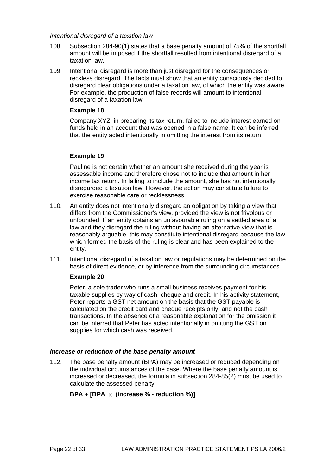#### *Intentional disregard of a taxation law*

- 108. Subsection 284-90(1) states that a base penalty amount of 75% of the shortfall amount will be imposed if the shortfall resulted from intentional disregard of a taxation law.
- 109. Intentional disregard is more than just disregard for the consequences or reckless disregard. The facts must show that an entity consciously decided to disregard clear obligations under a taxation law, of which the entity was aware. For example, the production of false records will amount to intentional disregard of a taxation law.

#### **Example 18**

Company XYZ, in preparing its tax return, failed to include interest earned on funds held in an account that was opened in a false name. It can be inferred that the entity acted intentionally in omitting the interest from its return.

## **Example 19**

Pauline is not certain whether an amount she received during the year is assessable income and therefore chose not to include that amount in her income tax return. In failing to include the amount, she has not intentionally disregarded a taxation law. However, the action may constitute failure to exercise reasonable care or recklessness.

- 110. An entity does not intentionally disregard an obligation by taking a view that differs from the Commissioner's view, provided the view is not frivolous or unfounded. If an entity obtains an unfavourable ruling on a settled area of a law and they disregard the ruling without having an alternative view that is reasonably arguable, this may constitute intentional disregard because the law which formed the basis of the ruling is clear and has been explained to the entity.
- 111. Intentional disregard of a taxation law or regulations may be determined on the basis of direct evidence, or by inference from the surrounding circumstances.

## **Example 20**

Peter, a sole trader who runs a small business receives payment for his taxable supplies by way of cash, cheque and credit. In his activity statement, Peter reports a GST net amount on the basis that the GST payable is calculated on the credit card and cheque receipts only, and not the cash transactions. In the absence of a reasonable explanation for the omission it can be inferred that Peter has acted intentionally in omitting the GST on supplies for which cash was received.

#### *Increase or reduction of the base penalty amount*

112. The base penalty amount (BPA) may be increased or reduced depending on the individual circumstances of the case. Where the base penalty amount is increased or decreased, the formula in subsection 284-85(2) must be used to calculate the assessed penalty:

## **BPA + [BPA** × **(increase % - reduction %)]**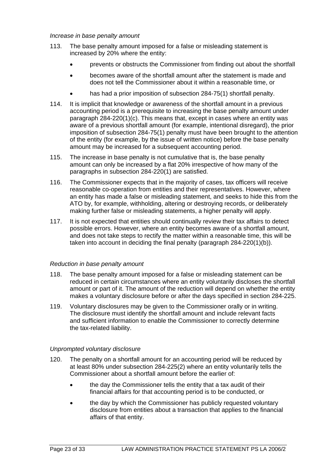#### *Increase in base penalty amount*

- 113. The base penalty amount imposed for a false or misleading statement is increased by 20% where the entity:
	- prevents or obstructs the Commissioner from finding out about the shortfall
	- becomes aware of the shortfall amount after the statement is made and does not tell the Commissioner about it within a reasonable time, or
	- has had a prior imposition of subsection 284-75(1) shortfall penalty.
- 114. It is implicit that knowledge or awareness of the shortfall amount in a previous accounting period is a prerequisite to increasing the base penalty amount under paragraph 284-220(1)(c). This means that, except in cases where an entity was aware of a previous shortfall amount (for example, intentional disregard), the prior imposition of subsection 284-75(1) penalty must have been brought to the attention of the entity (for example, by the issue of written notice) before the base penalty amount may be increased for a subsequent accounting period.
- 115. The increase in base penalty is not cumulative that is, the base penalty amount can only be increased by a flat 20% irrespective of how many of the paragraphs in subsection 284-220(1) are satisfied.
- 116. The Commissioner expects that in the majority of cases, tax officers will receive reasonable co-operation from entities and their representatives. However, where an entity has made a false or misleading statement, and seeks to hide this from the ATO by, for example, withholding, altering or destroying records, or deliberately making further false or misleading statements, a higher penalty will apply.
- 117. It is not expected that entities should continually review their tax affairs to detect possible errors. However, where an entity becomes aware of a shortfall amount, and does not take steps to rectify the matter within a reasonable time, this will be taken into account in deciding the final penalty (paragraph 284-220(1)(b)).

#### *Reduction in base penalty amount*

- 118. The base penalty amount imposed for a false or misleading statement can be reduced in certain circumstances where an entity voluntarily discloses the shortfall amount or part of it. The amount of the reduction will depend on whether the entity makes a voluntary disclosure before or after the days specified in section 284-225.
- 119. Voluntary disclosures may be given to the Commissioner orally or in writing. The disclosure must identify the shortfall amount and include relevant facts and sufficient information to enable the Commissioner to correctly determine the tax-related liability.

#### *Unprompted voluntary disclosure*

- 120. The penalty on a shortfall amount for an accounting period will be reduced by at least 80% under subsection 284-225(2) where an entity voluntarily tells the Commissioner about a shortfall amount before the earlier of:
	- the day the Commissioner tells the entity that a tax audit of their financial affairs for that accounting period is to be conducted, or
	- the day by which the Commissioner has publicly requested voluntary disclosure from entities about a transaction that applies to the financial affairs of that entity.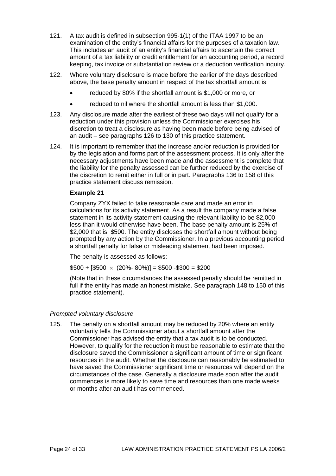- 121. A tax audit is defined in subsection 995-1(1) of the ITAA 1997 to be an examination of the entity's financial affairs for the purposes of a taxation law. This includes an audit of an entity's financial affairs to ascertain the correct amount of a tax liability or credit entitlement for an accounting period, a record keeping, tax invoice or substantiation review or a deduction verification inquiry.
- 122. Where voluntary disclosure is made before the earlier of the days described above, the base penalty amount in respect of the tax shortfall amount is:
	- reduced by 80% if the shortfall amount is \$1,000 or more, or
	- reduced to nil where the shortfall amount is less than \$1,000.
- 123. Any disclosure made after the earliest of these two days will not qualify for a reduction under this provision unless the Commissioner exercises his discretion to treat a disclosure as having been made before being advised of an audit – see paragraphs 126 to 130 of this practice statement.
- 124. It is important to remember that the increase and/or reduction is provided for by the legislation and forms part of the assessment process. It is only after the necessary adjustments have been made and the assessment is complete that the liability for the penalty assessed can be further reduced by the exercise of the discretion to remit either in full or in part. Paragraphs 136 to 158 of this practice statement discuss remission.

Company ZYX failed to take reasonable care and made an error in calculations for its activity statement. As a result the company made a false statement in its activity statement causing the relevant liability to be \$2,000 less than it would otherwise have been. The base penalty amount is 25% of \$2,000 that is, \$500. The entity discloses the shortfall amount without being prompted by any action by the Commissioner. In a previous accounting period a shortfall penalty for false or misleading statement had been imposed.

The penalty is assessed as follows:

 $$500 + [$500 \times (20\% - 80\%)] = $500 - $300 = $200$ 

(Note that in these circumstances the assessed penalty should be remitted in full if the entity has made an honest mistake. See paragraph 148 to 150 of this practice statement).

#### *Prompted voluntary disclosure*

125. The penalty on a shortfall amount may be reduced by 20% where an entity voluntarily tells the Commissioner about a shortfall amount after the Commissioner has advised the entity that a tax audit is to be conducted. However, to qualify for the reduction it must be reasonable to estimate that the disclosure saved the Commissioner a significant amount of time or significant resources in the audit. Whether the disclosure can reasonably be estimated to have saved the Commissioner significant time or resources will depend on the circumstances of the case. Generally a disclosure made soon after the audit commences is more likely to save time and resources than one made weeks or months after an audit has commenced.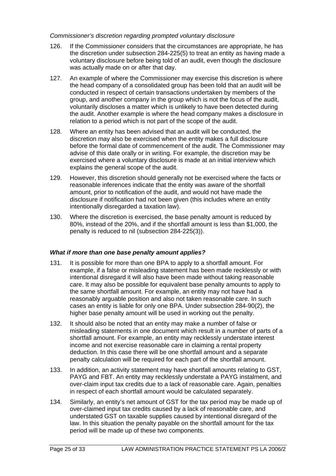#### *Commissioner's discretion regarding prompted voluntary disclosure*

- 126. If the Commissioner considers that the circumstances are appropriate, he has the discretion under subsection 284-225(5) to treat an entity as having made a voluntary disclosure before being told of an audit, even though the disclosure was actually made on or after that day.
- 127. An example of where the Commissioner may exercise this discretion is where the head company of a consolidated group has been told that an audit will be conducted in respect of certain transactions undertaken by members of the group, and another company in the group which is not the focus of the audit, voluntarily discloses a matter which is unlikely to have been detected during the audit. Another example is where the head company makes a disclosure in relation to a period which is not part of the scope of the audit.
- 128. Where an entity has been advised that an audit will be conducted, the discretion may also be exercised when the entity makes a full disclosure before the formal date of commencement of the audit. The Commissioner may advise of this date orally or in writing. For example, the discretion may be exercised where a voluntary disclosure is made at an initial interview which explains the general scope of the audit.
- 129. However, this discretion should generally not be exercised where the facts or reasonable inferences indicate that the entity was aware of the shortfall amount, prior to notification of the audit, and would not have made the disclosure if notification had not been given (this includes where an entity intentionally disregarded a taxation law).
- 130. Where the discretion is exercised, the base penalty amount is reduced by 80%, instead of the 20%, and if the shortfall amount is less than \$1,000, the penalty is reduced to nil (subsection 284-225(3)).

## *What if more than one base penalty amount applies?*

- 131. It is possible for more than one BPA to apply to a shortfall amount. For example, if a false or misleading statement has been made recklessly or with intentional disregard it will also have been made without taking reasonable care. It may also be possible for equivalent base penalty amounts to apply to the same shortfall amount. For example, an entity may not have had a reasonably arguable position and also not taken reasonable care. In such cases an entity is liable for only one BPA. Under subsection 284-90(2), the higher base penalty amount will be used in working out the penalty.
- 132. It should also be noted that an entity may make a number of false or misleading statements in one document which result in a number of parts of a shortfall amount. For example, an entity may recklessly understate interest income and not exercise reasonable care in claiming a rental property deduction. In this case there will be one shortfall amount and a separate penalty calculation will be required for each part of the shortfall amount.
- 133. In addition, an activity statement may have shortfall amounts relating to GST, PAYG and FBT. An entity may recklessly understate a PAYG instalment, and over-claim input tax credits due to a lack of reasonable care. Again, penalties in respect of each shortfall amount would be calculated separately.
- 134. Similarly, an entity's net amount of GST for the tax period may be made up of over-claimed input tax credits caused by a lack of reasonable care, and understated GST on taxable supplies caused by intentional disregard of the law. In this situation the penalty payable on the shortfall amount for the tax period will be made up of these two components.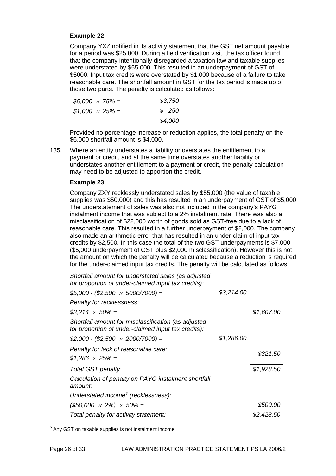Company YXZ notified in its activity statement that the GST net amount payable for a period was \$25,000. During a field verification visit, the tax officer found that the company intentionally disregarded a taxation law and taxable supplies were understated by \$55,000. This resulted in an underpayment of GST of \$5000. Input tax credits were overstated by \$1,000 because of a failure to take reasonable care. The shortfall amount in GST for the tax period is made up of those two parts. The penalty is calculated as follows:

| $$5,000 \times 75\% =$ | \$3,750 |
|------------------------|---------|
| $$1,000 \times 25\% =$ | \$250   |
|                        | \$4,000 |

Provided no percentage increase or reduction applies, the total penalty on the \$6,000 shortfall amount is \$4,000.

135. Where an entity understates a liability or overstates the entitlement to a payment or credit, and at the same time overstates another liability or understates another entitlement to a payment or credit, the penalty calculation may need to be adjusted to apportion the credit.

#### **Example 23**

Company ZXY recklessly understated sales by \$55,000 (the value of taxable supplies was \$50,000) and this has resulted in an underpayment of GST of \$5,000. The understatement of sales was also not included in the company's PAYG instalment income that was subject to a 2% instalment rate. There was also a misclassification of \$22,000 worth of goods sold as GST-free due to a lack of reasonable care. This resulted in a further underpayment of \$2,000. The company also made an arithmetic error that has resulted in an under-claim of input tax credits by \$2,500. In this case the total of the two GST underpayments is \$7,000 (\$5,000 underpayment of GST plus \$2,000 misclassification). However this is not the amount on which the penalty will be calculated because a reduction is required for the under-claimed input tax credits. The penalty will be calculated as follows:

| \$3,214.00 |            |
|------------|------------|
|            |            |
|            | \$1,607.00 |
|            |            |
| \$1,286.00 |            |
|            | \$321.50   |
|            | \$1,928.50 |
|            |            |
|            |            |
|            | \$500.00   |
|            | \$2,428.50 |
|            |            |

<span id="page-26-0"></span>-<br><sup>5</sup> Any GST on taxable supplies is not instalment income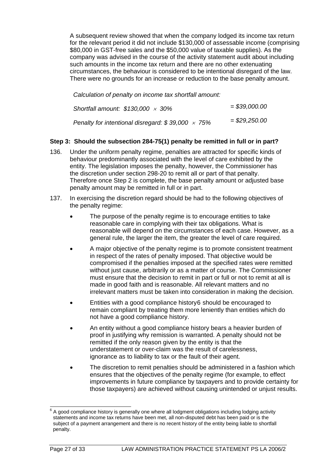A subsequent review showed that when the company lodged its income tax return for the relevant period it did not include \$130,000 of assessable income (comprising \$80,000 in GST-free sales and the \$50,000 value of taxable supplies). As the company was advised in the course of the activity statement audit about including such amounts in the income tax return and there are no other extenuating circumstances, the behaviour is considered to be intentional disregard of the law. There were no grounds for an increase or reduction to the base penalty amount.

*Calculation of penalty on income tax shortfall amount:* 

| Shortfall amount: $$130,000 \times 30\%$                 | $=$ \$39,000.00 |
|----------------------------------------------------------|-----------------|
| Penalty for intentional disregard: $$39,000 \times 75\%$ | \$29,250.00     |

#### **Step 3: Should the subsection 284-75(1) penalty be remitted in full or in part?**

- 136. Under the uniform penalty regime, penalties are attracted for specific kinds of behaviour predominantly associated with the level of care exhibited by the entity. The legislation imposes the penalty, however, the Commissioner has the discretion under section 298-20 to remit all or part of that penalty. Therefore once Step 2 is complete, the base penalty amount or adjusted base penalty amount may be remitted in full or in part.
- 137. In exercising the discretion regard should be had to the following objectives of the penalty regime:
	- The purpose of the penalty regime is to encourage entities to take reasonable care in complying with their tax obligations. What is reasonable will depend on the circumstances of each case. However, as a general rule, the larger the item, the greater the level of care required.
	- A major objective of the penalty regime is to promote consistent treatment in respect of the rates of penalty imposed. That objective would be compromised if the penalties imposed at the specified rates were remitted without just cause, arbitrarily or as a matter of course. The Commissioner must ensure that the decision to remit in part or full or not to remit at all is made in good faith and is reasonable. All relevant matters and no irrelevant matters must be taken into consideration in making the decision.
	- Entities with a good compliance history[6](#page-27-0) should be encouraged to remain compliant by treating them more leniently than entities which do not have a good compliance history.
	- An entity without a good compliance history bears a heavier burden of proof in justifying why remission is warranted. A penalty should not be remitted if the only reason given by the entity is that the understatement or over-claim was the result of carelessness, ignorance as to liability to tax or the fault of their agent.
	- The discretion to remit penalties should be administered in a fashion which ensures that the objectives of the penalty regime (for example, to effect improvements in future compliance by taxpayers and to provide certainty for those taxpayers) are achieved without causing unintended or unjust results.

<span id="page-27-0"></span> 6 A good compliance history is generally one where all lodgment obligations including lodging activity statements and income tax returns have been met, all non-disputed debt has been paid or is the subject of a payment arrangement and there is no recent history of the entity being liable to shortfall penalty.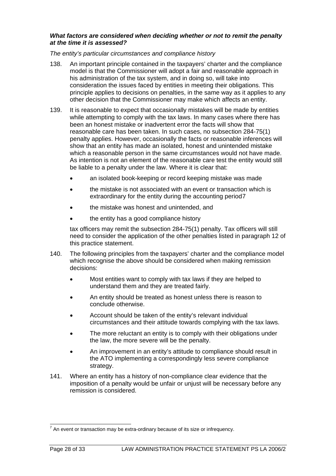#### *What factors are considered when deciding whether or not to remit the penalty at the time it is assessed?*

#### *The entity's particular circumstances and compliance history*

- 138. An important principle contained in the taxpayers' charter and the compliance model is that the Commissioner will adopt a fair and reasonable approach in his administration of the tax system, and in doing so, will take into consideration the issues faced by entities in meeting their obligations. This principle applies to decisions on penalties, in the same way as it applies to any other decision that the Commissioner may make which affects an entity.
- 139. It is reasonable to expect that occasionally mistakes will be made by entities while attempting to comply with the tax laws. In many cases where there has been an honest mistake or inadvertent error the facts will show that reasonable care has been taken. In such cases, no subsection 284-75(1) penalty applies. However, occasionally the facts or reasonable inferences will show that an entity has made an isolated, honest and unintended mistake which a reasonable person in the same circumstances would not have made. As intention is not an element of the reasonable care test the entity would still be liable to a penalty under the law. Where it is clear that:
	- an isolated book-keeping or record keeping mistake was made
	- the mistake is not associated with an event or transaction which is extraordinary for the entity during the accounting period[7](#page-28-0)
	- the mistake was honest and unintended, and
	- the entity has a good compliance history

tax officers may remit the subsection 284-75(1) penalty. Tax officers will still need to consider the application of the other penalties listed in paragraph 12 of this practice statement.

- 140. The following principles from the taxpayers' charter and the compliance model which recognise the above should be considered when making remission decisions:
	- Most entities want to comply with tax laws if they are helped to understand them and they are treated fairly.
	- An entity should be treated as honest unless there is reason to conclude otherwise.
	- Account should be taken of the entity's relevant individual circumstances and their attitude towards complying with the tax laws.
	- The more reluctant an entity is to comply with their obligations under the law, the more severe will be the penalty.
	- An improvement in an entity's attitude to compliance should result in the ATO implementing a correspondingly less severe compliance strategy.
- 141. Where an entity has a history of non-compliance clear evidence that the imposition of a penalty would be unfair or unjust will be necessary before any remission is considered.

<span id="page-28-0"></span><sup>-&</sup>lt;br>The event or transaction may be extra-ordinary because of its size or infrequency.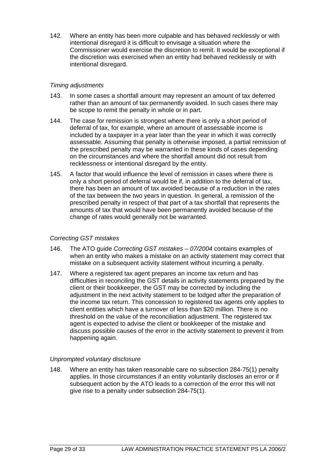142. Where an entity has been more culpable and has behaved recklessly or with intentional disregard it is difficult to envisage a situation where the Commissioner would exercise the discretion to remit. It would be exceptional if the discretion was exercised when an entity had behaved recklessly or with intentional disregard.

## *Timing adjustments*

- 143. In some cases a shortfall amount may represent an amount of tax deferred rather than an amount of tax permanently avoided. In such cases there may be scope to remit the penalty in whole or in part.
- 144. The case for remission is strongest where there is only a short period of deferral of tax, for example, where an amount of assessable income is included by a taxpayer in a year later than the year in which it was correctly assessable. Assuming that penalty is otherwise imposed, a partial remission of the prescribed penalty may be warranted in these kinds of cases depending on the circumstances and where the shortfall amount did not result from recklessness or intentional disregard by the entity.
- 145. A factor that would influence the level of remission in cases where there is only a short period of deferral would be if, in addition to the deferral of tax, there has been an amount of tax avoided because of a reduction in the rates of the tax between the two years in question. In general, a remission of the prescribed penalty in respect of that part of a tax shortfall that represents the amounts of tax that would have been permanently avoided because of the change of rates would generally not be warranted.

#### *Correcting GST mistakes*

- 146. The ATO guide *Correcting GST mistakes 07/2004* contains examples of when an entity who makes a mistake on an activity statement may correct that mistake on a subsequent activity statement without incurring a penalty.
- 147. Where a registered tax agent prepares an income tax return and has difficulties in reconciling the GST details in activity statements prepared by the client or their bookkeeper, the GST may be corrected by including the adjustment in the next activity statement to be lodged after the preparation of the income tax return. This concession to registered tax agents only applies to client entities which have a turnover of less than \$20 million. There is no threshold on the value of the reconciliation adjustment. The registered tax agent is expected to advise the client or bookkeeper of the mistake and discuss possible causes of the error in the activity statement to prevent it from happening again.

## *Unprompted voluntary disclosure*

148. Where an entity has taken reasonable care no subsection 284-75(1) penalty applies. In those circumstances if an entity voluntarily discloses an error or if subsequent action by the ATO leads to a correction of the error this will not give rise to a penalty under subsection 284-75(1).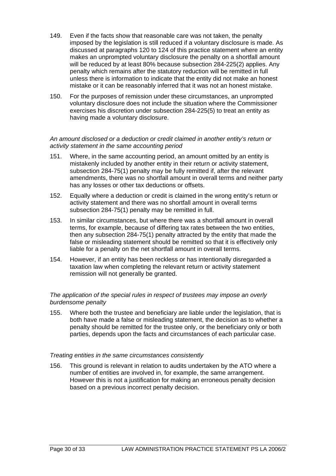- 149. Even if the facts show that reasonable care was not taken, the penalty imposed by the legislation is still reduced if a voluntary disclosure is made. As discussed at paragraphs 120 to 124 of this practice statement where an entity makes an unprompted voluntary disclosure the penalty on a shortfall amount will be reduced by at least 80% because subsection 284-225(2) applies. Any penalty which remains after the statutory reduction will be remitted in full unless there is information to indicate that the entity did not make an honest mistake or it can be reasonably inferred that it was not an honest mistake.
- 150. For the purposes of remission under these circumstances, an unprompted voluntary disclosure does not include the situation where the Commissioner exercises his discretion under subsection 284-225(5) to treat an entity as having made a voluntary disclosure.

#### *An amount disclosed or a deduction or credit claimed in another entity's return or activity statement in the same accounting period*

- 151. Where, in the same accounting period, an amount omitted by an entity is mistakenly included by another entity in their return or activity statement, subsection 284-75(1) penalty may be fully remitted if, after the relevant amendments, there was no shortfall amount in overall terms and neither party has any losses or other tax deductions or offsets.
- 152. Equally where a deduction or credit is claimed in the wrong entity's return or activity statement and there was no shortfall amount in overall terms subsection 284-75(1) penalty may be remitted in full.
- 153. In similar circumstances, but where there was a shortfall amount in overall terms, for example, because of differing tax rates between the two entities, then any subsection 284-75(1) penalty attracted by the entity that made the false or misleading statement should be remitted so that it is effectively only liable for a penalty on the net shortfall amount in overall terms.
- 154. However, if an entity has been reckless or has intentionally disregarded a taxation law when completing the relevant return or activity statement remission will not generally be granted.

#### *The application of the special rules in respect of trustees may impose an overly burdensome penalty*

155. Where both the trustee and beneficiary are liable under the legislation, that is both have made a false or misleading statement, the decision as to whether a penalty should be remitted for the trustee only, or the beneficiary only or both parties, depends upon the facts and circumstances of each particular case.

#### *Treating entities in the same circumstances consistently*

156. This ground is relevant in relation to audits undertaken by the ATO where a number of entities are involved in, for example, the same arrangement. However this is not a justification for making an erroneous penalty decision based on a previous incorrect penalty decision.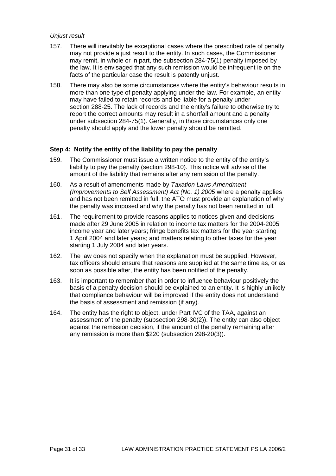#### *Unjust result*

- 157. There will inevitably be exceptional cases where the prescribed rate of penalty may not provide a just result to the entity. In such cases, the Commissioner may remit, in whole or in part, the subsection 284-75(1) penalty imposed by the law. It is envisaged that any such remission would be infrequent ie on the facts of the particular case the result is patently unjust.
- 158. There may also be some circumstances where the entity's behaviour results in more than one type of penalty applying under the law. For example, an entity may have failed to retain records and be liable for a penalty under section 288-25. The lack of records and the entity's failure to otherwise try to report the correct amounts may result in a shortfall amount and a penalty under subsection 284-75(1). Generally, in those circumstances only one penalty should apply and the lower penalty should be remitted.

#### **Step 4: Notify the entity of the liability to pay the penalty**

- 159. The Commissioner must issue a written notice to the entity of the entity's liability to pay the penalty (section 298-10). This notice will advise of the amount of the liability that remains after any remission of the penalty.
- 160. As a result of amendments made by *Taxation Laws Amendment (Improvements to Self Assessment) Act (No. 1) 2005* where a penalty applies and has not been remitted in full, the ATO must provide an explanation of why the penalty was imposed and why the penalty has not been remitted in full.
- 161. The requirement to provide reasons applies to notices given and decisions made after 29 June 2005 in relation to income tax matters for the 2004-2005 income year and later years; fringe benefits tax matters for the year starting 1 April 2004 and later years; and matters relating to other taxes for the year starting 1 July 2004 and later years.
- 162. The law does not specify when the explanation must be supplied. However, tax officers should ensure that reasons are supplied at the same time as, or as soon as possible after, the entity has been notified of the penalty.
- 163. It is important to remember that in order to influence behaviour positively the basis of a penalty decision should be explained to an entity. It is highly unlikely that compliance behaviour will be improved if the entity does not understand the basis of assessment and remission (if any).
- 164. The entity has the right to object, under Part IVC of the TAA, against an assessment of the penalty (subsection 298-30(2)). The entity can also object against the remission decision, if the amount of the penalty remaining after any remission is more than \$220 (subsection 298-20(3)).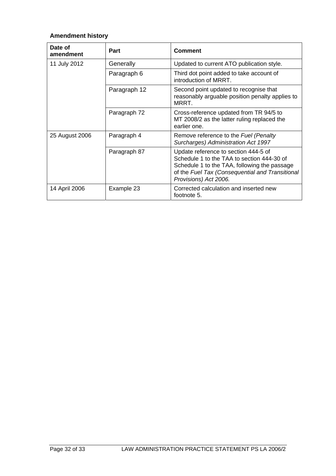## **Amendment history**

| Date of<br>amendment | Part         | <b>Comment</b>                                                                                                                                                                                                 |
|----------------------|--------------|----------------------------------------------------------------------------------------------------------------------------------------------------------------------------------------------------------------|
| 11 July 2012         | Generally    | Updated to current ATO publication style.                                                                                                                                                                      |
|                      | Paragraph 6  | Third dot point added to take account of<br>introduction of MRRT.                                                                                                                                              |
|                      | Paragraph 12 | Second point updated to recognise that<br>reasonably arguable position penalty applies to<br>MRRT.                                                                                                             |
|                      | Paragraph 72 | Cross-reference updated from TR 94/5 to<br>MT 2008/2 as the latter ruling replaced the<br>earlier one.                                                                                                         |
| 25 August 2006       | Paragraph 4  | Remove reference to the Fuel (Penalty<br>Surcharges) Administration Act 1997                                                                                                                                   |
|                      | Paragraph 87 | Update reference to section 444-5 of<br>Schedule 1 to the TAA to section 444-30 of<br>Schedule 1 to the TAA, following the passage<br>of the Fuel Tax (Consequential and Transitional<br>Provisions) Act 2006. |
| 14 April 2006        | Example 23   | Corrected calculation and inserted new<br>footnote 5.                                                                                                                                                          |